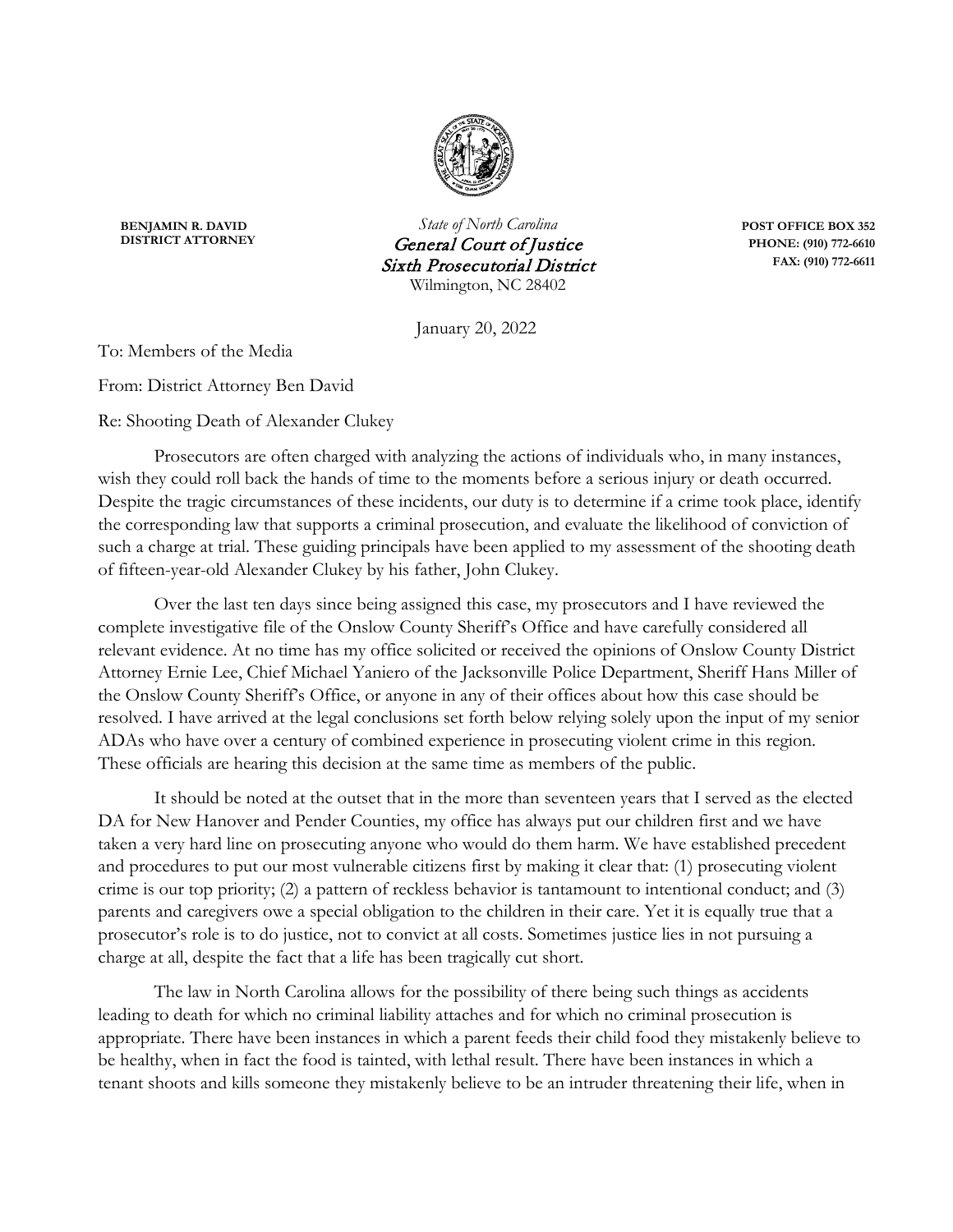

**BENJAMIN R. DAVID**<br>*State of North Carolina* **<b>POST OFFICE BOX 352**<br>*Ceneral Court of Instice* PHONE: (910) 772-6610 **Ceneral Court of Justice PHONE:** (910) 772-6610<br> **PHONE:** (910) 772-6611 **Sixth Prosecutorial District** Wilmington, NC 28402

January 20, 2022

To: Members of the Media

From: District Attorney Ben David

Re: Shooting Death of Alexander Clukey

Prosecutors are often charged with analyzing the actions of individuals who, in many instances, wish they could roll back the hands of time to the moments before a serious injury or death occurred. Despite the tragic circumstances of these incidents, our duty is to determine if a crime took place, identify the corresponding law that supports a criminal prosecution, and evaluate the likelihood of conviction of such a charge at trial. These guiding principals have been applied to my assessment of the shooting death of fifteen-year-old Alexander Clukey by his father, John Clukey.

Over the last ten days since being assigned this case, my prosecutors and I have reviewed the complete investigative file of the Onslow County Sheriff's Office and have carefully considered all relevant evidence. At no time has my office solicited or received the opinions of Onslow County District Attorney Ernie Lee, Chief Michael Yaniero of the Jacksonville Police Department, Sheriff Hans Miller of the Onslow County Sheriff's Office, or anyone in any of their offices about how this case should be resolved. I have arrived at the legal conclusions set forth below relying solely upon the input of my senior ADAs who have over a century of combined experience in prosecuting violent crime in this region. These officials are hearing this decision at the same time as members of the public.

It should be noted at the outset that in the more than seventeen years that I served as the elected DA for New Hanover and Pender Counties, my office has always put our children first and we have taken a very hard line on prosecuting anyone who would do them harm. We have established precedent and procedures to put our most vulnerable citizens first by making it clear that: (1) prosecuting violent crime is our top priority; (2) a pattern of reckless behavior is tantamount to intentional conduct; and (3) parents and caregivers owe a special obligation to the children in their care. Yet it is equally true that a prosecutor's role is to do justice, not to convict at all costs. Sometimes justice lies in not pursuing a charge at all, despite the fact that a life has been tragically cut short.

The law in North Carolina allows for the possibility of there being such things as accidents leading to death for which no criminal liability attaches and for which no criminal prosecution is appropriate. There have been instances in which a parent feeds their child food they mistakenly believe to be healthy, when in fact the food is tainted, with lethal result. There have been instances in which a tenant shoots and kills someone they mistakenly believe to be an intruder threatening their life, when in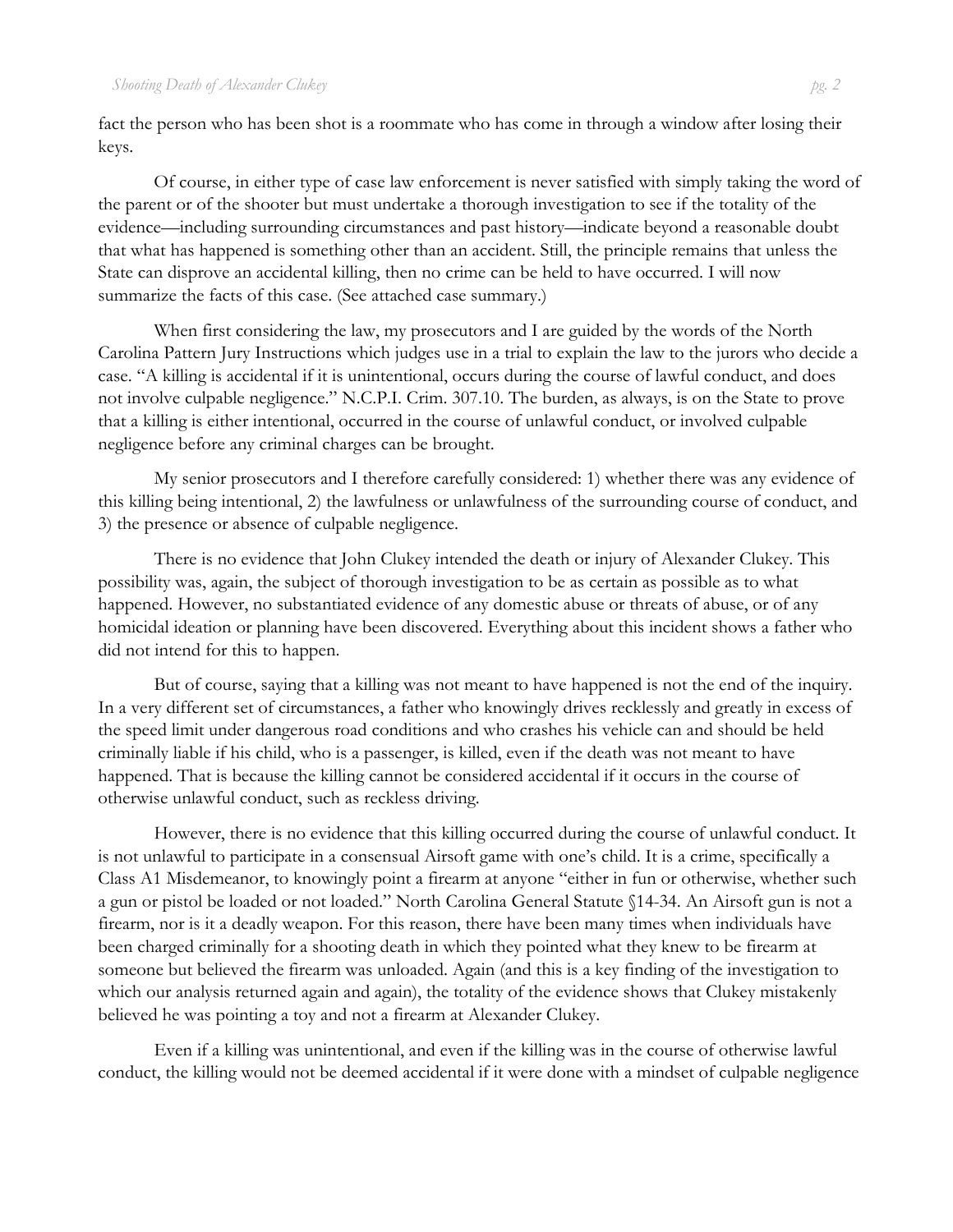fact the person who has been shot is a roommate who has come in through a window after losing their keys.

Of course, in either type of case law enforcement is never satisfied with simply taking the word of the parent or of the shooter but must undertake a thorough investigation to see if the totality of the evidence—including surrounding circumstances and past history—indicate beyond a reasonable doubt that what has happened is something other than an accident. Still, the principle remains that unless the State can disprove an accidental killing, then no crime can be held to have occurred. I will now summarize the facts of this case. (See attached case summary.)

When first considering the law, my prosecutors and I are guided by the words of the North Carolina Pattern Jury Instructions which judges use in a trial to explain the law to the jurors who decide a case. "A killing is accidental if it is unintentional, occurs during the course of lawful conduct, and does not involve culpable negligence." N.C.P.I. Crim. 307.10. The burden, as always, is on the State to prove that a killing is either intentional, occurred in the course of unlawful conduct, or involved culpable negligence before any criminal charges can be brought.

My senior prosecutors and I therefore carefully considered: 1) whether there was any evidence of this killing being intentional, 2) the lawfulness or unlawfulness of the surrounding course of conduct, and 3) the presence or absence of culpable negligence.

There is no evidence that John Clukey intended the death or injury of Alexander Clukey. This possibility was, again, the subject of thorough investigation to be as certain as possible as to what happened. However, no substantiated evidence of any domestic abuse or threats of abuse, or of any homicidal ideation or planning have been discovered. Everything about this incident shows a father who did not intend for this to happen.

But of course, saying that a killing was not meant to have happened is not the end of the inquiry. In a very different set of circumstances, a father who knowingly drives recklessly and greatly in excess of the speed limit under dangerous road conditions and who crashes his vehicle can and should be held criminally liable if his child, who is a passenger, is killed, even if the death was not meant to have happened. That is because the killing cannot be considered accidental if it occurs in the course of otherwise unlawful conduct, such as reckless driving.

However, there is no evidence that this killing occurred during the course of unlawful conduct. It is not unlawful to participate in a consensual Airsoft game with one's child. It is a crime, specifically a Class A1 Misdemeanor, to knowingly point a firearm at anyone "either in fun or otherwise, whether such a gun or pistol be loaded or not loaded." North Carolina General Statute §14-34. An Airsoft gun is not a firearm, nor is it a deadly weapon. For this reason, there have been many times when individuals have been charged criminally for a shooting death in which they pointed what they knew to be firearm at someone but believed the firearm was unloaded. Again (and this is a key finding of the investigation to which our analysis returned again and again), the totality of the evidence shows that Clukey mistakenly believed he was pointing a toy and not a firearm at Alexander Clukey.

Even if a killing was unintentional, and even if the killing was in the course of otherwise lawful conduct, the killing would not be deemed accidental if it were done with a mindset of culpable negligence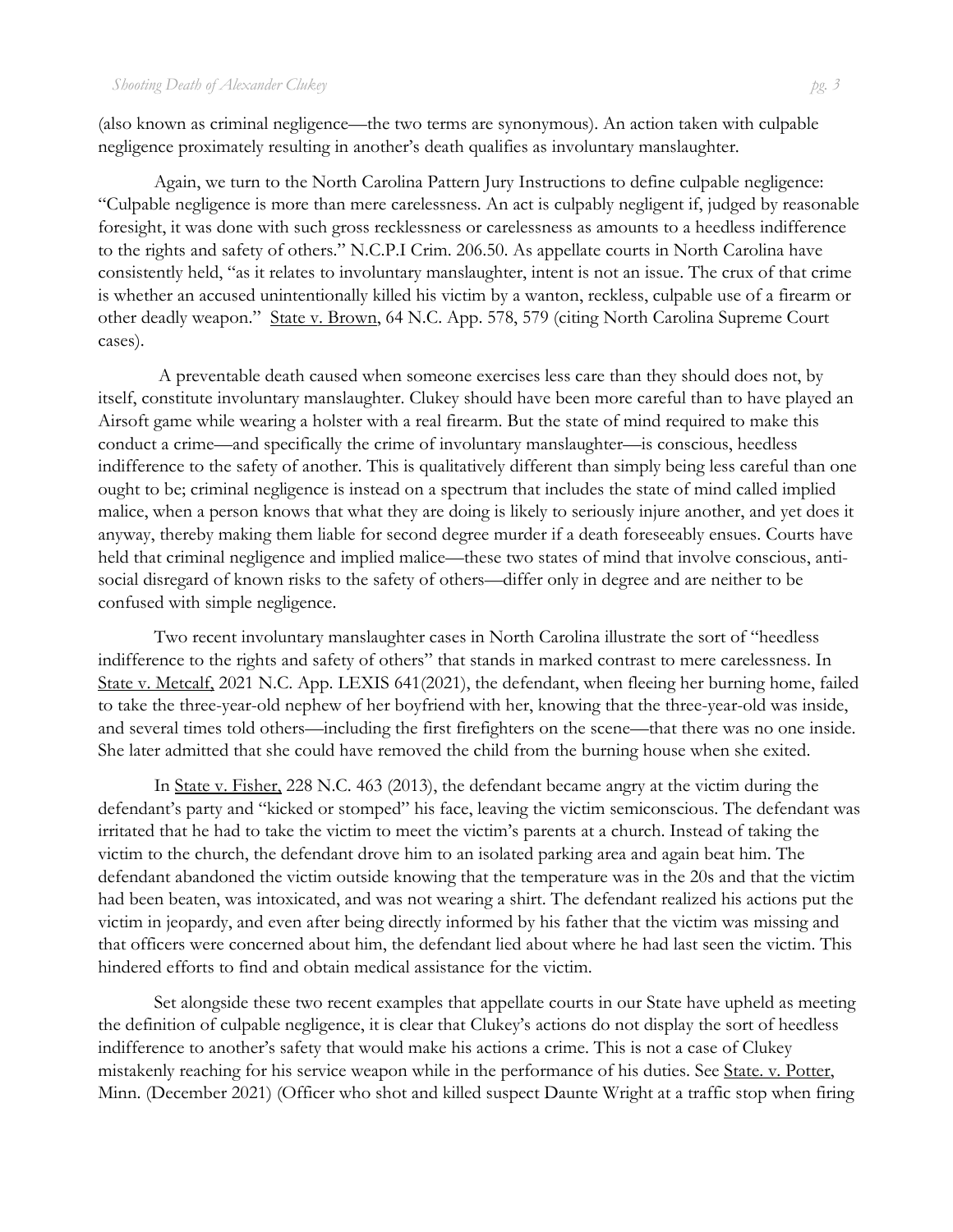(also known as criminal negligence—the two terms are synonymous). An action taken with culpable negligence proximately resulting in another's death qualifies as involuntary manslaughter.

Again, we turn to the North Carolina Pattern Jury Instructions to define culpable negligence: "Culpable negligence is more than mere carelessness. An act is culpably negligent if, judged by reasonable foresight, it was done with such gross recklessness or carelessness as amounts to a heedless indifference to the rights and safety of others." N.C.P.I Crim. 206.50. As appellate courts in North Carolina have consistently held, "as it relates to involuntary manslaughter, intent is not an issue. The crux of that crime is whether an accused unintentionally killed his victim by a wanton, reckless, culpable use of a firearm or other deadly weapon." State v. Brown, 64 N.C. App. 578, 579 (citing North Carolina Supreme Court cases).

A preventable death caused when someone exercises less care than they should does not, by itself, constitute involuntary manslaughter. Clukey should have been more careful than to have played an Airsoft game while wearing a holster with a real firearm. But the state of mind required to make this conduct a crime—and specifically the crime of involuntary manslaughter—is conscious, heedless indifference to the safety of another. This is qualitatively different than simply being less careful than one ought to be; criminal negligence is instead on a spectrum that includes the state of mind called implied malice, when a person knows that what they are doing is likely to seriously injure another, and yet does it anyway, thereby making them liable for second degree murder if a death foreseeably ensues. Courts have held that criminal negligence and implied malice—these two states of mind that involve conscious, antisocial disregard of known risks to the safety of others—differ only in degree and are neither to be confused with simple negligence.

Two recent involuntary manslaughter cases in North Carolina illustrate the sort of "heedless indifference to the rights and safety of others" that stands in marked contrast to mere carelessness. In State v. Metcalf, 2021 N.C. App. LEXIS 641(2021), the defendant, when fleeing her burning home, failed to take the three-year-old nephew of her boyfriend with her, knowing that the three-year-old was inside, and several times told others—including the first firefighters on the scene—that there was no one inside. She later admitted that she could have removed the child from the burning house when she exited.

In State v. Fisher, 228 N.C. 463 (2013), the defendant became angry at the victim during the defendant's party and "kicked or stomped" his face, leaving the victim semiconscious. The defendant was irritated that he had to take the victim to meet the victim's parents at a church. Instead of taking the victim to the church, the defendant drove him to an isolated parking area and again beat him. The defendant abandoned the victim outside knowing that the temperature was in the 20s and that the victim had been beaten, was intoxicated, and was not wearing a shirt. The defendant realized his actions put the victim in jeopardy, and even after being directly informed by his father that the victim was missing and that officers were concerned about him, the defendant lied about where he had last seen the victim. This hindered efforts to find and obtain medical assistance for the victim.

Set alongside these two recent examples that appellate courts in our State have upheld as meeting the definition of culpable negligence, it is clear that Clukey's actions do not display the sort of heedless indifference to another's safety that would make his actions a crime. This is not a case of Clukey mistakenly reaching for his service weapon while in the performance of his duties. See State. v. Potter, Minn. (December 2021) (Officer who shot and killed suspect Daunte Wright at a traffic stop when firing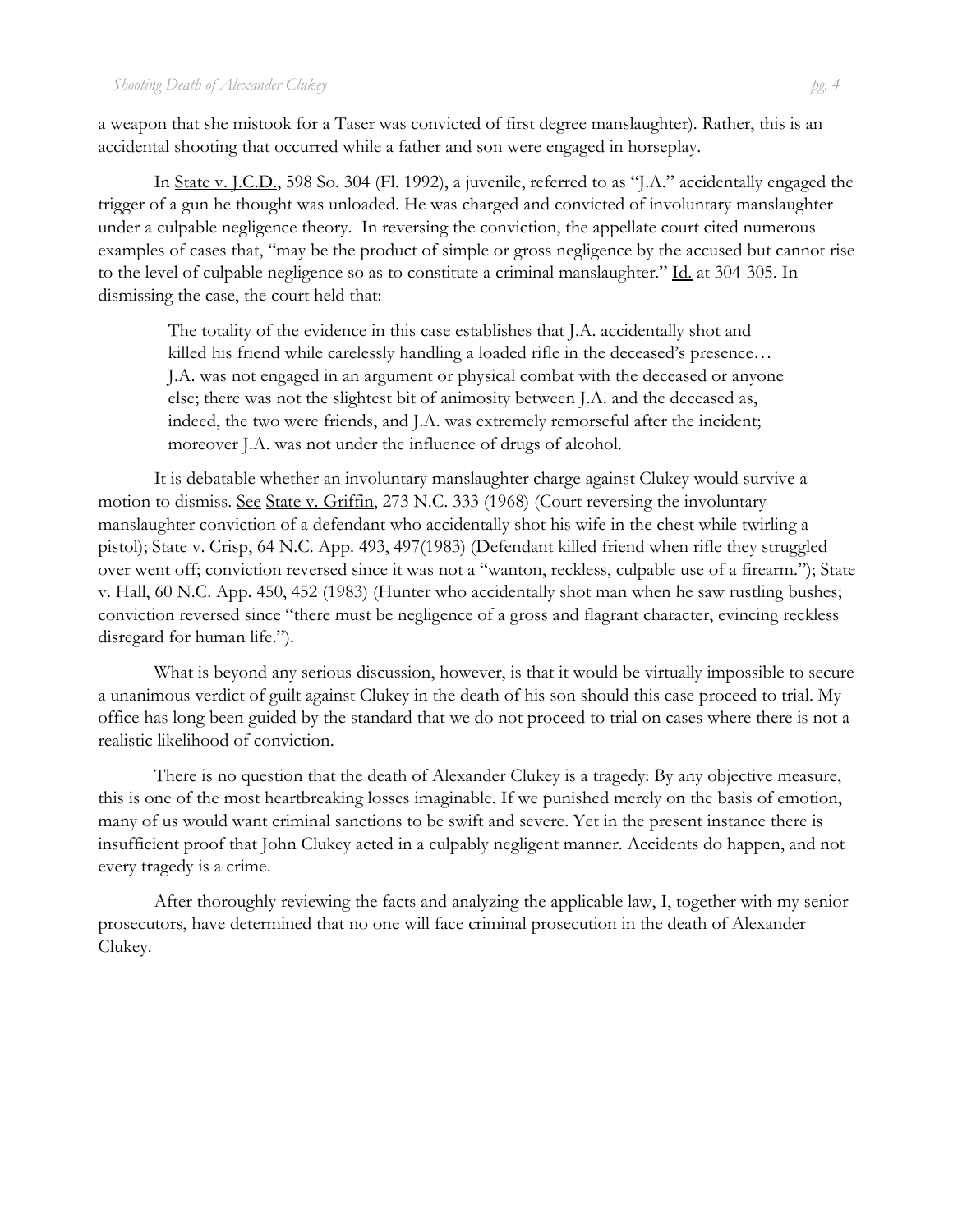a weapon that she mistook for a Taser was convicted of first degree manslaughter). Rather, this is an accidental shooting that occurred while a father and son were engaged in horseplay.

In State v. J.C.D., 598 So. 304 (Fl. 1992), a juvenile, referred to as "J.A." accidentally engaged the trigger of a gun he thought was unloaded. He was charged and convicted of involuntary manslaughter under a culpable negligence theory. In reversing the conviction, the appellate court cited numerous examples of cases that, "may be the product of simple or gross negligence by the accused but cannot rise to the level of culpable negligence so as to constitute a criminal manslaughter." Id. at 304-305. In dismissing the case, the court held that:

The totality of the evidence in this case establishes that J.A. accidentally shot and killed his friend while carelessly handling a loaded rifle in the deceased's presence... J.A. was not engaged in an argument or physical combat with the deceased or anyone else; there was not the slightest bit of animosity between J.A. and the deceased as, indeed, the two were friends, and J.A. was extremely remorseful after the incident; moreover J.A. was not under the influence of drugs of alcohol.

It is debatable whether an involuntary manslaughter charge against Clukey would survive a motion to dismiss. See State v. Griffin, 273 N.C. 333 (1968) (Court reversing the involuntary manslaughter conviction of a defendant who accidentally shot his wife in the chest while twirling a pistol); State v. Crisp, 64 N.C. App. 493, 497(1983) (Defendant killed friend when rifle they struggled over went off; conviction reversed since it was not a "wanton, reckless, culpable use of a firearm."); State v. Hall, 60 N.C. App. 450, 452 (1983) (Hunter who accidentally shot man when he saw rustling bushes; conviction reversed since "there must be negligence of a gross and flagrant character, evincing reckless disregard for human life.").

What is beyond any serious discussion, however, is that it would be virtually impossible to secure a unanimous verdict of guilt against Clukey in the death of his son should this case proceed to trial. My office has long been guided by the standard that we do not proceed to trial on cases where there is not a realistic likelihood of conviction.

There is no question that the death of Alexander Clukey is a tragedy: By any objective measure, this is one of the most heartbreaking losses imaginable. If we punished merely on the basis of emotion, many of us would want criminal sanctions to be swift and severe. Yet in the present instance there is insufficient proof that John Clukey acted in a culpably negligent manner. Accidents do happen, and not every tragedy is a crime.

After thoroughly reviewing the facts and analyzing the applicable law, I, together with my senior prosecutors, have determined that no one will face criminal prosecution in the death of Alexander Clukey.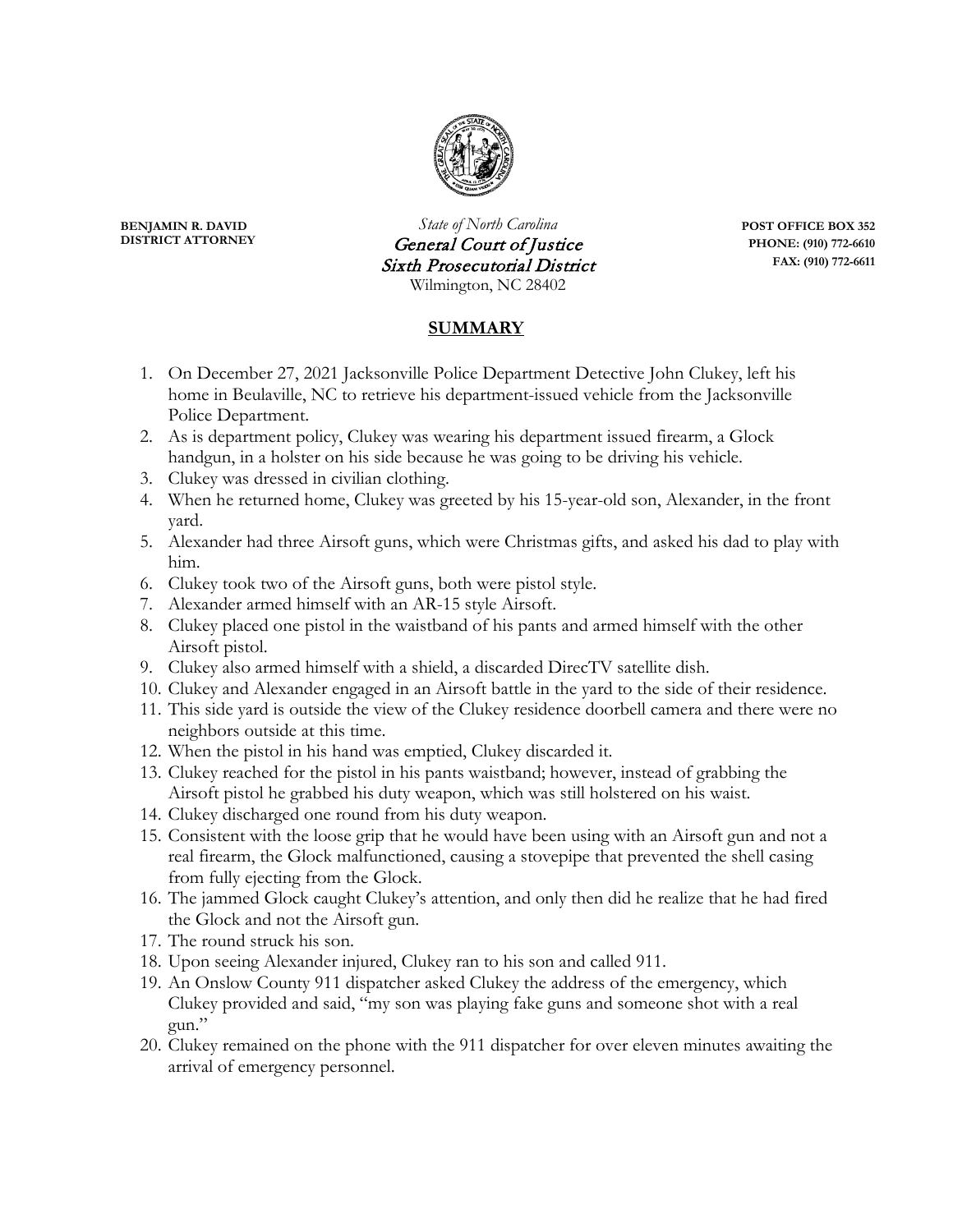

**BENJAMIN R. DAVID**<br>*State of North Carolina* **<b>POST OFFICE BOX 352**<br>*General Court of Instice* PHONE: (910) 772-6610 **Ceneral Court of Justice PHONE:** (910) 772-6610<br> **PHONE:** (910) 772-6611 **Sixth Prosecutorial District** Wilmington, NC 28402

## **SUMMARY**

- 1. On December 27, 2021 Jacksonville Police Department Detective John Clukey, left his home in Beulaville, NC to retrieve his department-issued vehicle from the Jacksonville Police Department.
- 2. As is department policy, Clukey was wearing his department issued firearm, a Glock handgun, in a holster on his side because he was going to be driving his vehicle.
- 3. Clukey was dressed in civilian clothing.
- 4. When he returned home, Clukey was greeted by his 15-year-old son, Alexander, in the front yard.
- 5. Alexander had three Airsoft guns, which were Christmas gifts, and asked his dad to play with him.
- 6. Clukey took two of the Airsoft guns, both were pistol style.
- 7. Alexander armed himself with an AR-15 style Airsoft.
- 8. Clukey placed one pistol in the waistband of his pants and armed himself with the other Airsoft pistol.
- 9. Clukey also armed himself with a shield, a discarded DirecTV satellite dish.
- 10. Clukey and Alexander engaged in an Airsoft battle in the yard to the side of their residence.
- 11. This side yard is outside the view of the Clukey residence doorbell camera and there were no neighbors outside at this time.
- 12. When the pistol in his hand was emptied, Clukey discarded it.
- 13. Clukey reached for the pistol in his pants waistband; however, instead of grabbing the Airsoft pistol he grabbed his duty weapon, which was still holstered on his waist.
- 14. Clukey discharged one round from his duty weapon.
- 15. Consistent with the loose grip that he would have been using with an Airsoft gun and not a real firearm, the Glock malfunctioned, causing a stovepipe that prevented the shell casing from fully ejecting from the Glock.
- 16. The jammed Glock caught Clukey's attention, and only then did he realize that he had fired the Glock and not the Airsoft gun.
- 17. The round struck his son.
- 18. Upon seeing Alexander injured, Clukey ran to his son and called 911.
- 19. An Onslow County 911 dispatcher asked Clukey the address of the emergency, which Clukey provided and said, "my son was playing fake guns and someone shot with a real gun."
- 20. Clukey remained on the phone with the 911 dispatcher for over eleven minutes awaiting the arrival of emergency personnel.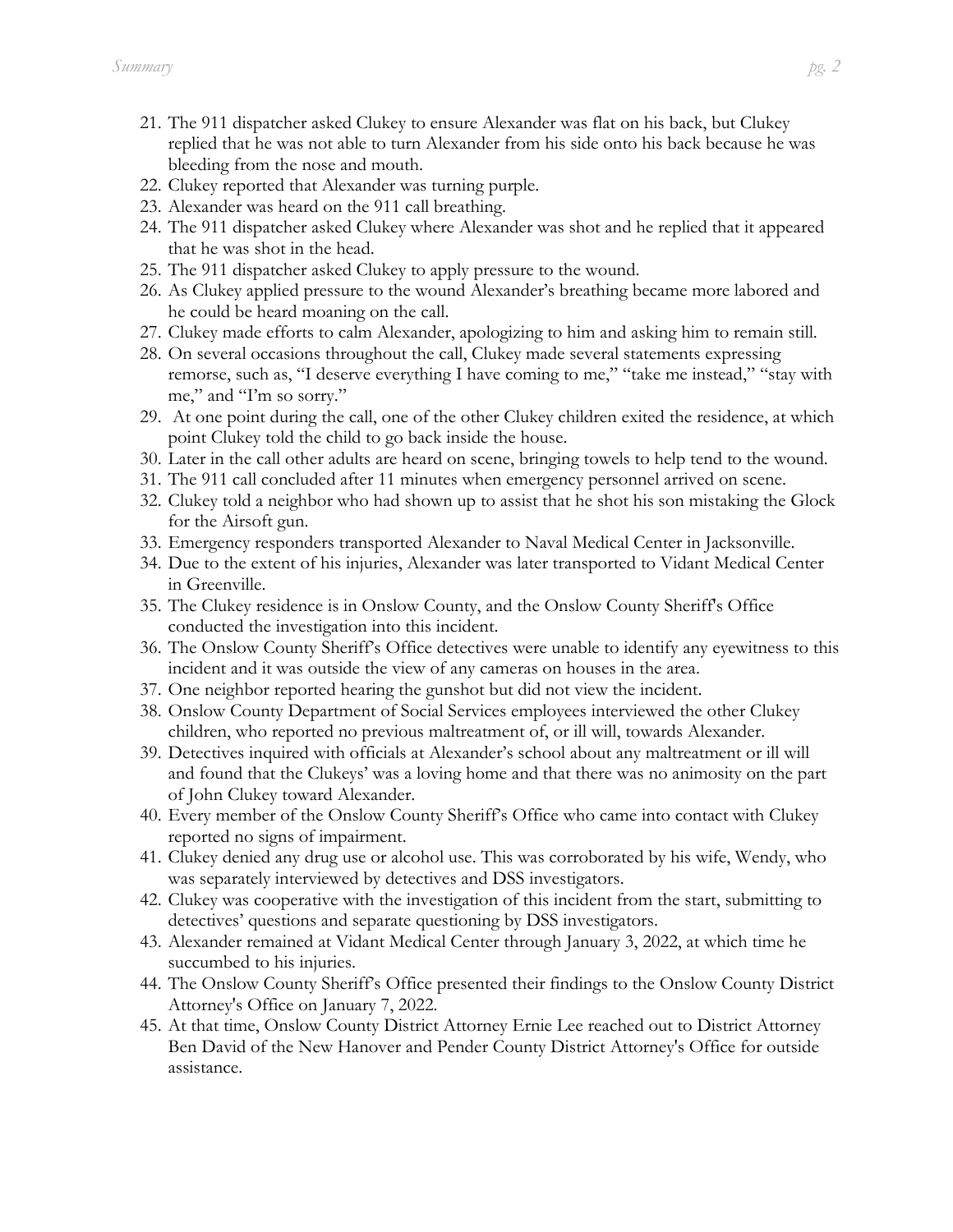- 21. The 911 dispatcher asked Clukey to ensure Alexander was flat on his back, but Clukey replied that he was not able to turn Alexander from his side onto his back because he was bleeding from the nose and mouth.
- 22. Clukey reported that Alexander was turning purple.
- 23. Alexander was heard on the 911 call breathing.
- 24. The 911 dispatcher asked Clukey where Alexander was shot and he replied that it appeared that he was shot in the head.
- 25. The 911 dispatcher asked Clukey to apply pressure to the wound.
- 26. As Clukey applied pressure to the wound Alexander's breathing became more labored and he could be heard moaning on the call.
- 27. Clukey made efforts to calm Alexander, apologizing to him and asking him to remain still.
- 28. On several occasions throughout the call, Clukey made several statements expressing remorse, such as, "I deserve everything I have coming to me," "take me instead," "stay with me," and "I'm so sorry."
- 29. At one point during the call, one of the other Clukey children exited the residence, at which point Clukey told the child to go back inside the house.
- 30. Later in the call other adults are heard on scene, bringing towels to help tend to the wound.
- 31. The 911 call concluded after 11 minutes when emergency personnel arrived on scene.
- 32. Clukey told a neighbor who had shown up to assist that he shot his son mistaking the Glock for the Airsoft gun.
- 33. Emergency responders transported Alexander to Naval Medical Center in Jacksonville.
- 34. Due to the extent of his injuries, Alexander was later transported to Vidant Medical Center in Greenville.
- 35. The Clukey residence is in Onslow County, and the Onslow County Sheriff's Office conducted the investigation into this incident.
- 36. The Onslow County Sheriff's Office detectives were unable to identify any eyewitness to this incident and it was outside the view of any cameras on houses in the area.
- 37. One neighbor reported hearing the gunshot but did not view the incident.
- 38. Onslow County Department of Social Services employees interviewed the other Clukey children, who reported no previous maltreatment of, or ill will, towards Alexander.
- 39. Detectives inquired with officials at Alexander's school about any maltreatment or ill will and found that the Clukeys' was a loving home and that there was no animosity on the part of John Clukey toward Alexander.
- 40. Every member of the Onslow County Sheriff's Office who came into contact with Clukey reported no signs of impairment.
- 41. Clukey denied any drug use or alcohol use. This was corroborated by his wife, Wendy, who was separately interviewed by detectives and DSS investigators.
- 42. Clukey was cooperative with the investigation of this incident from the start, submitting to detectives' questions and separate questioning by DSS investigators.
- 43. Alexander remained at Vidant Medical Center through January 3, 2022, at which time he succumbed to his injuries.
- 44. The Onslow County Sheriff's Office presented their findings to the Onslow County District Attorney's Office on January 7, 2022.
- 45. At that time, Onslow County District Attorney Ernie Lee reached out to District Attorney Ben David of the New Hanover and Pender County District Attorney's Office for outside assistance.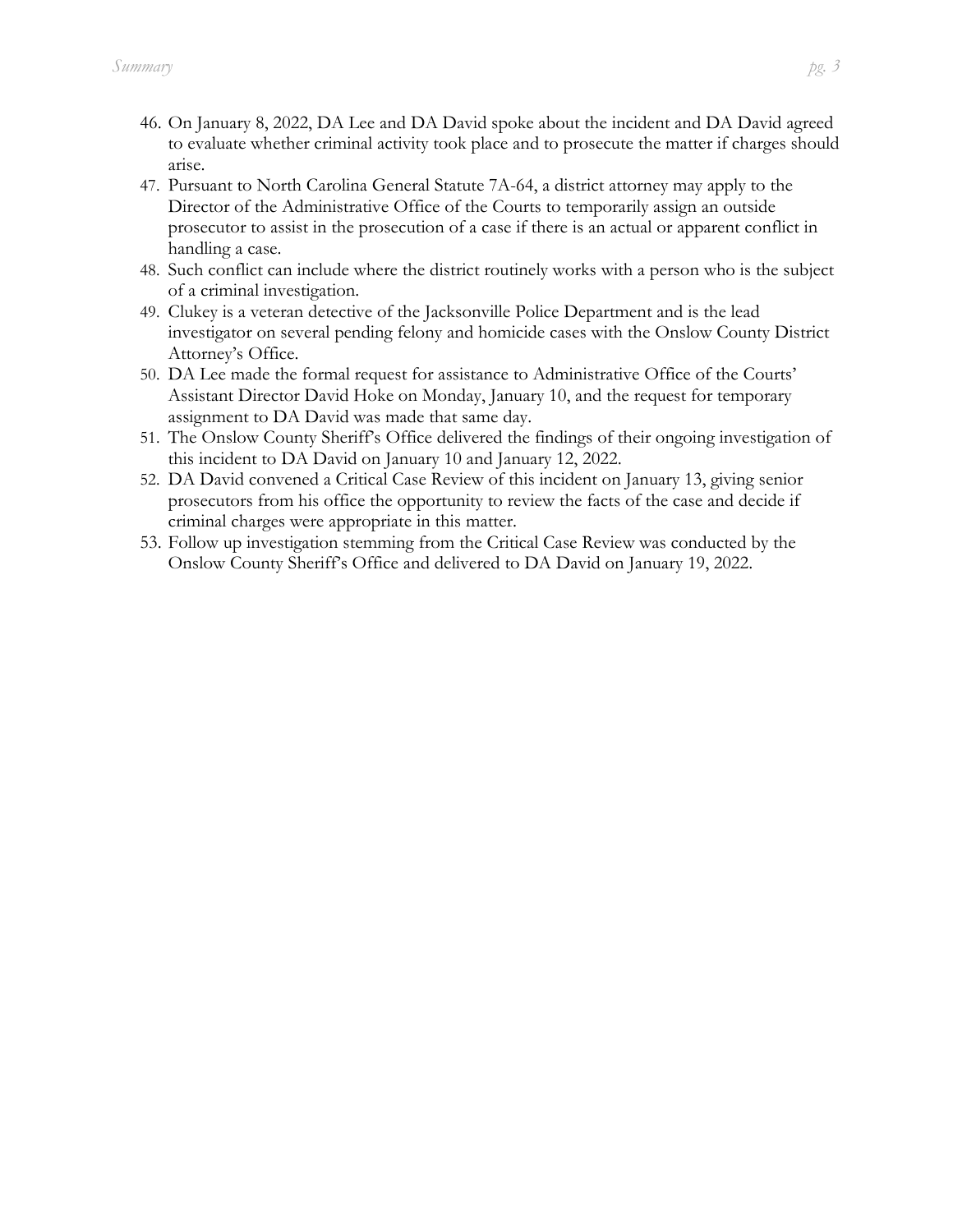- 46. On January 8, 2022, DA Lee and DA David spoke about the incident and DA David agreed to evaluate whether criminal activity took place and to prosecute the matter if charges should arise.
- 47. Pursuant to North Carolina General Statute 7A-64, a district attorney may apply to the Director of the Administrative Office of the Courts to temporarily assign an outside prosecutor to assist in the prosecution of a case if there is an actual or apparent conflict in handling a case.
- 48. Such conflict can include where the district routinely works with a person who is the subject of a criminal investigation.
- 49. Clukey is a veteran detective of the Jacksonville Police Department and is the lead investigator on several pending felony and homicide cases with the Onslow County District Attorney's Office.
- 50. DA Lee made the formal request for assistance to Administrative Office of the Courts' Assistant Director David Hoke on Monday, January 10, and the request for temporary assignment to DA David was made that same day.
- 51. The Onslow County Sheriff's Office delivered the findings of their ongoing investigation of this incident to DA David on January 10 and January 12, 2022.
- 52. DA David convened a Critical Case Review of this incident on January 13, giving senior prosecutors from his office the opportunity to review the facts of the case and decide if criminal charges were appropriate in this matter.
- 53. Follow up investigation stemming from the Critical Case Review was conducted by the Onslow County Sheriff's Office and delivered to DA David on January 19, 2022.